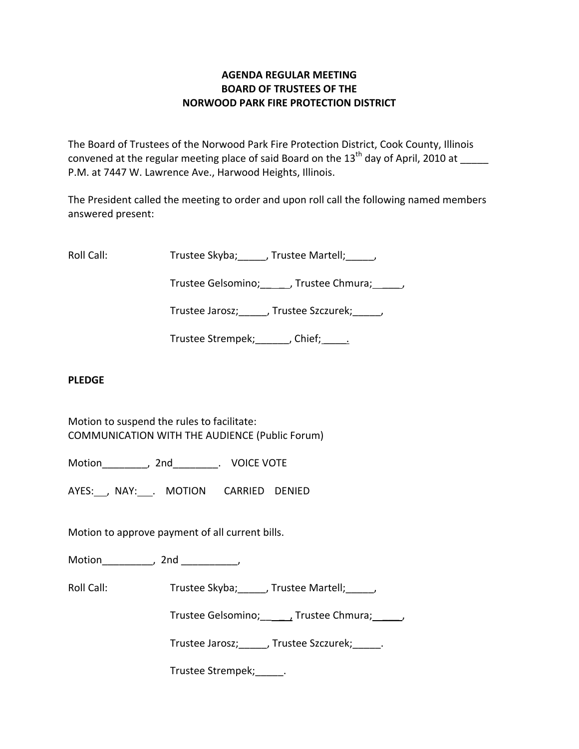## **AGENDA REGULAR MEETING BOARD OF TRUSTEES OF THE NORWOOD PARK FIRE PROTECTION DISTRICT**

The Board of Trustees of the Norwood Park Fire Protection District, Cook County, Illinois convened at the regular meeting place of said Board on the  $13<sup>th</sup>$  day of April, 2010 at P.M. at 7447 W. Lawrence Ave., Harwood Heights, Illinois.

The President called the meeting to order and upon roll call the following named members answered present:

Roll Call: Trustee Skyba; J. Trustee Martell; Trustee Martell;

Trustee Gelsomino; frustee Chmura;  $\qquad$ 

Trustee Jarosz; J. Trustee Szczurek; J.

Trustee Strempek; fief; etc.

# **PLEDGE**

Motion to suspend the rules to facilitate: COMMUNICATION WITH THE AUDIENCE (Public Forum)

Motion \_\_\_\_\_\_\_\_, 2nd \_\_\_\_\_\_\_\_. VOICE VOTE

AYES: , NAY: . MOTION CARRIED DENIED

Motion to approve payment of all current bills.

Motion the motion of the motion of the motion of the motion of the motion of the motion of the motion of the m<br>Second motion of the motion of the motion of the motion of the motion of the motion of the motion of the motio<br>

Roll Call: Trustee Skyba; J. Trustee Martell; J.

Trustee Gelsomino; \_\_\_\_\_, Trustee Chmura; \_\_\_\_\_\_,

Trustee Jarosz;\_\_\_\_\_, Trustee Szczurek;\_\_\_\_\_.

Trustee Strempek;\_\_\_\_\_.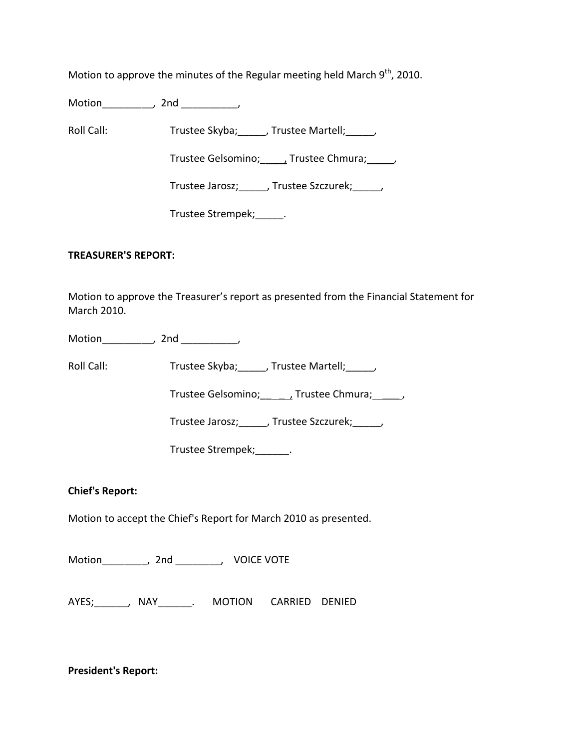Motion to approve the minutes of the Regular meeting held March 9<sup>th</sup>, 2010.

Motion\_\_\_\_\_\_\_\_\_, 2nd \_\_\_\_\_\_\_\_\_\_,

Roll Call: Trustee Skyba; Trustee Martell; Trustee Martell;

Trustee Gelsomino; \_\_\_\_\_\_, Trustee Chmura; \_\_\_\_\_,

Trustee Jarosz;\_\_\_\_\_, Trustee Szczurek;\_\_\_\_\_,

Trustee Strempek; [100]

### **TREASURER'S REPORT:**

Motion to approve the Treasurer's report as presented from the Financial Statement for March 2010.

Motion the contract of the contract of the contract of the contract of the contract of the contract of the contract of the contract of the contract of the contract of the contract of the contract of the contract of the con

Roll Call: Trustee Skyba; \_\_\_\_, Trustee Martell; \_\_\_\_\_,

Trustee Gelsomino; \_\_\_\_\_\_, Trustee Chmura; \_\_\_\_\_,

Trustee Jarosz;\_\_\_\_\_, Trustee Szczurek;\_\_\_\_\_,

Trustee Strempek;\_\_\_\_\_\_.

### **Chief's Report:**

Motion to accept the Chief's Report for March 2010 as presented.

Motion\_\_\_\_\_\_\_\_, 2nd \_\_\_\_\_\_\_\_, VOICE VOTE

AYES;\_\_\_\_\_\_, NAY\_\_\_\_\_\_. MOTION CARRIED DENIED

**President's Report:**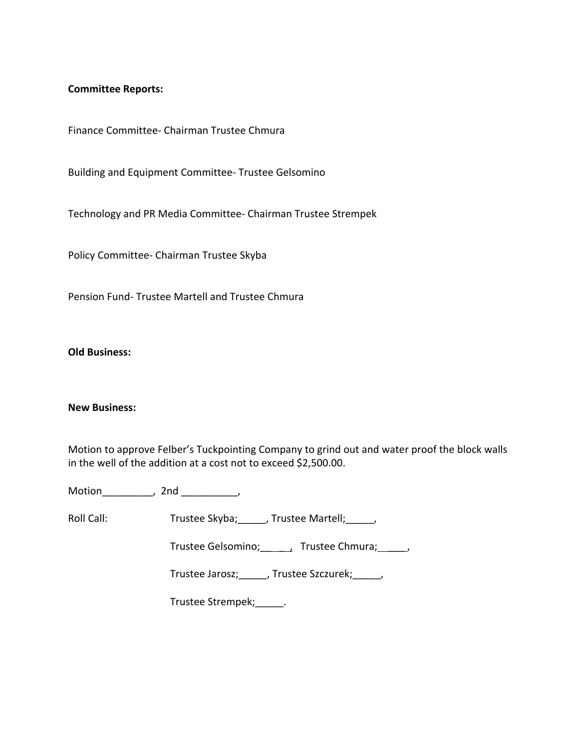#### **Committee Reports:**

Finance Committee‐ Chairman Trustee Chmura

Building and Equipment Committee‐ Trustee Gelsomino

Technology and PR Media Committee‐ Chairman Trustee Strempek

Policy Committee‐ Chairman Trustee Skyba

Pension Fund‐ Trustee Martell and Trustee Chmura

**Old Business:**

#### **New Business:**

Motion to approve Felber's Tuckpointing Company to grind out and water proof the block walls in the well of the addition at a cost not to exceed \$2,500.00.

Motion\_\_\_\_\_\_\_\_\_, 2nd \_\_\_\_\_\_\_\_\_\_,

Roll Call: Trustee Skyba; \_\_\_\_\_, Trustee Martell; \_\_\_\_\_,

Trustee Gelsomino; \_\_\_\_\_, Trustee Chmura; \_\_\_\_\_,

Trustee Jarosz;\_\_\_\_\_, Trustee Szczurek;\_\_\_\_\_,

Trustee Strempek;\_\_\_\_\_.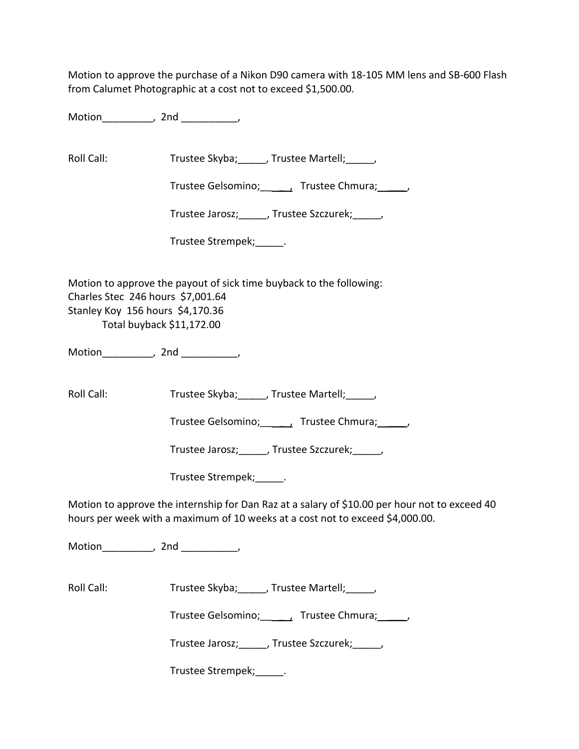Motion to approve the purchase of a Nikon D90 camera with 18-105 MM lens and SB-600 Flash from Calumet Photographic at a cost not to exceed \$1,500.00.

Motion the motion of the motion of the motion of the motion of the motion of the motion of the motion of the m<br>Second motion of the motion of the motion of the motion of the motion of the motion of the motion of the motio<br>

Roll Call: Trustee Skyba; Trustee Martell; Trustee Martell;

Trustee Gelsomino; \_\_\_\_\_, Trustee Chmura; \_\_\_\_\_,

Trustee Jarosz; Frustee Szczurek; Frustee Jarosz;

Trustee Strempek;\_\_\_\_\_\_.

Motion to approve the payout of sick time buyback to the following: Charles Stec 246 hours \$7,001.64 Stanley Koy 156 hours \$4,170.36 Total buyback \$11,172.00

Motion\_\_\_\_\_\_\_\_\_, 2nd \_\_\_\_\_\_\_\_\_\_,

Roll Call: Trustee Skyba; \_\_\_\_, Trustee Martell; \_\_\_\_\_,

Trustee Gelsomino; \_\_\_\_\_\_, Trustee Chmura; \_\_\_\_\_\_,

Trustee Jarosz;\_\_\_\_\_, Trustee Szczurek;\_\_\_\_\_,

Trustee Strempek;\_\_\_\_\_.

Motion to approve the internship for Dan Raz at a salary of \$10.00 per hour not to exceed 40 hours per week with a maximum of 10 weeks at a cost not to exceed \$4,000.00.

Motion the contract of the contract of the contract of the contract of the contract of the contract of the contract of the contract of the contract of the contract of the contract of the contract of the contract of the con

Roll Call: Trustee Skyba; \_\_\_\_, Trustee Martell; \_\_\_\_,

Trustee Gelsomino; \_\_\_\_\_, Trustee Chmura; \_\_\_\_\_,

Trustee Jarosz;\_\_\_\_\_, Trustee Szczurek;\_\_\_\_\_,

Trustee Strempek;\_\_\_\_\_.